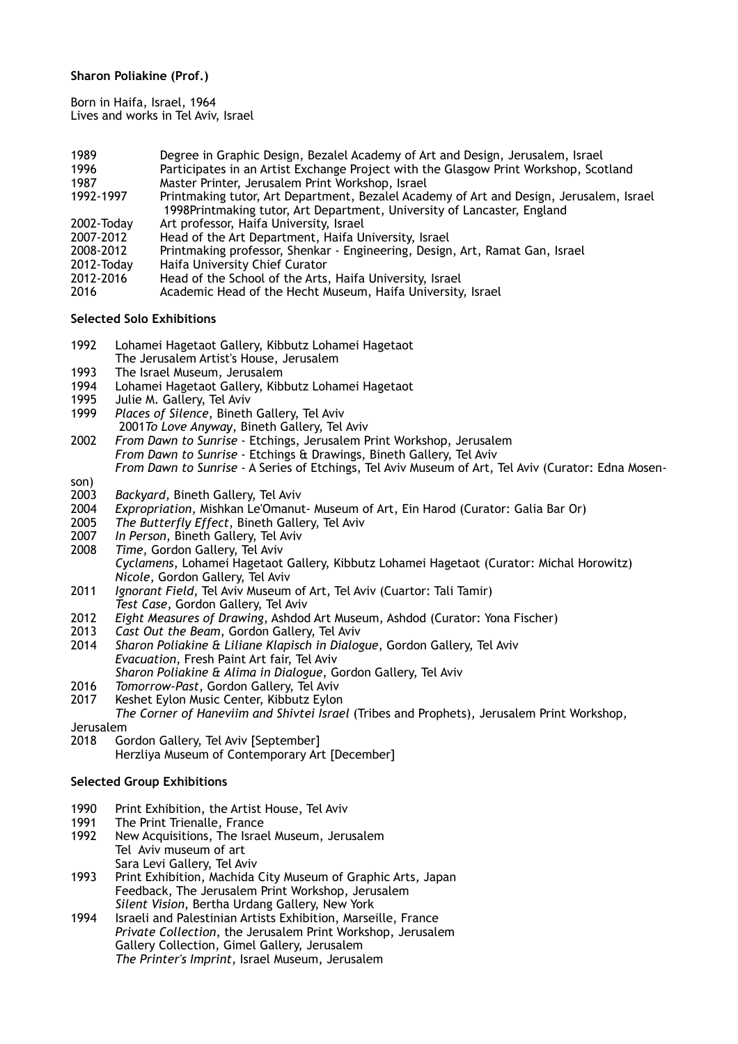# **Sharon Poliakine (Prof.)**

Born in Haifa, Israel, 1964 Lives and works in Tel Aviv, Israel

- 1989 Degree in Graphic Design, Bezalel Academy of Art and Design, Jerusalem, Israel 1996 **Participates in an Artist Exchange Project with the Glasgow Print Workshop, Scotland 1987** Master Printer, Jerusalem Print Workshop, Israel 1987 Master Printer, Jerusalem Print Workshop, Israel
- Printmaking tutor, Art Department, Bezalel Academy of Art and Design, Jerusalem, Israel 1998Printmaking tutor, Art Department, University of Lancaster, England<br>2002-Todav Art professor, Haifa University, Israel
- Art professor, Haifa University, Israel
- 2007-2012 Head of the Art Department, Haifa University, Israel
- 2008-2012 Printmaking professor, Shenkar Engineering, Design, Art, Ramat Gan, Israel
- Haifa University Chief Curator
- 2012-2016 Head of the School of the Arts, Haifa University, Israel
- 2016 Academic Head of the Hecht Museum, Haifa University, Israel

#### **Selected Solo Exhibitions**

- 1992 Lohamei Hagetaot Gallery, Kibbutz Lohamei Hagetaot
- The Jerusalem Artist's House, Jerusalem
- 1993 The Israel Museum, Jerusalem<br>1994 Lohamei Hagetaot Gallery. Kib
- Lohamei Hagetaot Gallery, Kibbutz Lohamei Hagetaot
- 1995 Julie M. Gallery, Tel Aviv<br>1999 Places of Silence, Bineth
- Places of Silence, Bineth Gallery, Tel Aviv 2001*To Love Anyway*, Bineth Gallery, Tel Aviv
- 2002 *From Dawn to Sunrise* Etchings, Jerusalem Print Workshop, Jerusalem *From Dawn to Sunrise* - Etchings & Drawings, Bineth Gallery, Tel Aviv *From Dawn to Sunrise* - A Series of Etchings, Tel Aviv Museum of Art, Tel Aviv (Curator: Edna Mosen-
- son)<br>2003
- 2003 *Backyard*, Bineth Gallery, Tel Aviv 2004 *Expropriation*, Mishkan Le'Omanut- Museum of Art, Ein Harod (Curator: Galia Bar Or)
- 2005 *The Butterfly Effect*, Bineth Gallery, Tel Aviv
- 
- 2007 *In Person*, Bineth Gallery, Tel Aviv **Time, Gordon Gallery, Tel Aviv**
- *Cyclamens*, Lohamei Hagetaot Gallery, Kibbutz Lohamei Hagetaot (Curator: Michal Horowitz) *Nicole*, Gordon Gallery, Tel Aviv
- 2011 *Ignorant Field*, Tel Aviv Museum of Art, Tel Aviv (Cuartor: Tali Tamir) *Test Case*, Gordon Gallery, Tel Aviv
- 2012 *Eight Measures of Drawing*, Ashdod Art Museum, Ashdod (Curator: Yona Fischer)
- 2013 *Cast Out the Beam*, Gordon Gallery, Tel Aviv
- 2014 *Sharon Poliakine & Liliane Klapisch in Dialogue*, Gordon Gallery, Tel Aviv *Evacuation*, Fresh Paint Art fair, Tel Aviv
- *Sharon Poliakine & Alima in Dialogue*, Gordon Gallery, Tel Aviv
- 2016 *Tomorrow-Past*, Gordon Gallery, Tel Aviv
- 2017 Keshet Eylon Music Center, Kibbutz Eylon

*The Corner of Haneviim and Shivtei Israel* (Tribes and Prophets), Jerusalem Print Workshop,

Jerusalem

2018 Gordon Gallery, Tel Aviv [September] Herzliya Museum of Contemporary Art [December]

#### **Selected Group Exhibitions**

- 1990 Print Exhibition, the Artist House, Tel Aviv<br>1991 The Print Trienalle, France
- 1991 The Print Trienalle, France<br>1992 New Acquisitions, The Israe
- New Acquisitions, The Israel Museum, Jerusalem Tel Aviv museum of art Sara Levi Gallery, Tel Aviv
- 1993 Print Exhibition, Machida City Museum of Graphic Arts, Japan Feedback, The Jerusalem Print Workshop, Jerusalem *Silent Vision*, Bertha Urdang Gallery, New York
- 1994 Israeli and Palestinian Artists Exhibition, Marseille, France *Private Collection*, the Jerusalem Print Workshop, Jerusalem Gallery Collection, Gimel Gallery, Jerusalem *The Printer's Imprint*, Israel Museum, Jerusalem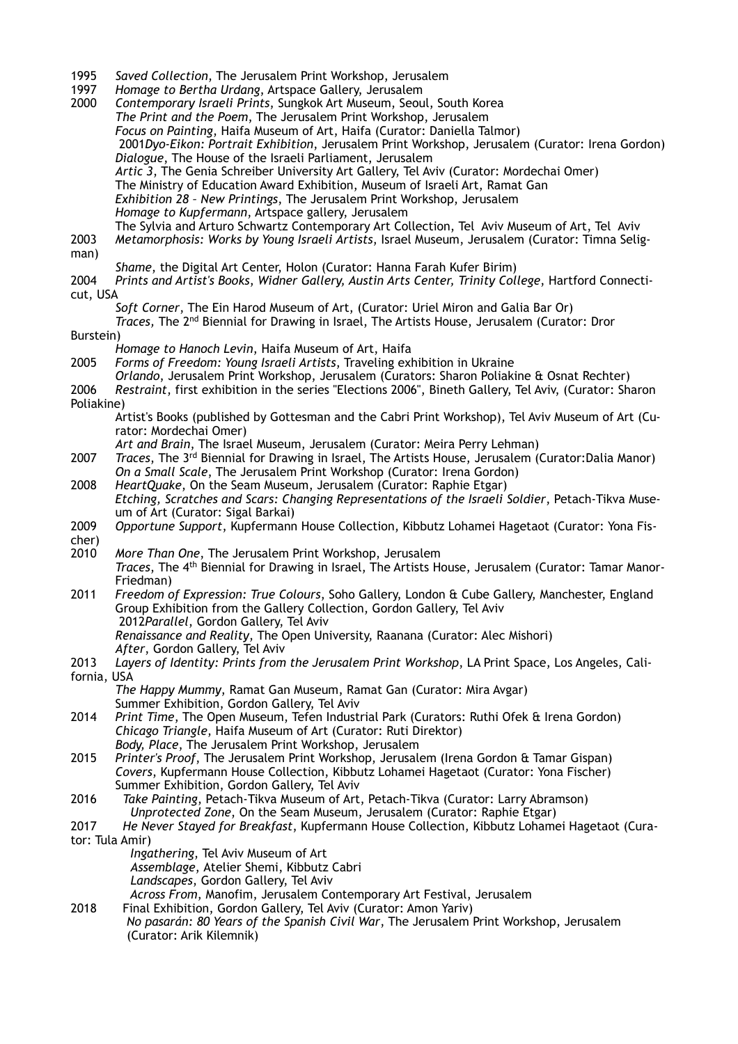- 1995 *Saved Collection*, The Jerusalem Print Workshop, Jerusalem
- 1997 *Homage to Bertha Urdang*, Artspace Gallery, Jerusalem
- 2000 *Contemporary Israeli Prints*, Sungkok Art Museum, Seoul, South Korea *The Print and the Poem*, The Jerusalem Print Workshop, Jerusalem *Focus on Painting*, Haifa Museum of Art, Haifa (Curator: Daniella Talmor) 2001*Dyo-Eikon: Portrait Exhibition*, Jerusalem Print Workshop, Jerusalem (Curator: Irena Gordon) *Dialogue*, The House of the Israeli Parliament, Jerusalem *Artic 3*, The Genia Schreiber University Art Gallery, Tel Aviv (Curator: Mordechai Omer) The Ministry of Education Award Exhibition, Museum of Israeli Art, Ramat Gan *Exhibition 28 – New Printings*, The Jerusalem Print Workshop, Jerusalem *Homage to Kupfermann*, Artspace gallery, Jerusalem The Sylvia and Arturo Schwartz Contemporary Art Collection, Tel Aviv Museum of Art, Tel Aviv 2003 *Metamorphosis: Works by Young Israeli Artists*, Israel Museum, Jerusalem (Curator: Timna Seligman) *Shame*, the Digital Art Center, Holon (Curator: Hanna Farah Kufer Birim) 2004 *Prints and Artist's Books*, *Widner Gallery, Austin Arts Center, Trinity College*, Hartford Connecticut, USA *Soft Corner*, The Ein Harod Museum of Art, (Curator: Uriel Miron and Galia Bar Or) *Traces,* The 2nd Biennial for Drawing in Israel, The Artists House, Jerusalem (Curator: Dror Burstein) *Homage to Hanoch Levin*, Haifa Museum of Art, Haifa 2005 *Forms of Freedom: Young Israeli Artists*, Traveling exhibition in Ukraine *Orlando*, Jerusalem Print Workshop, Jerusalem (Curators: Sharon Poliakine & Osnat Rechter) 2006 *Restraint*, first exhibition in the series "Elections 2006", Bineth Gallery, Tel Aviv, (Curator: Sharon Poliakine) Artist's Books (published by Gottesman and the Cabri Print Workshop), Tel Aviv Museum of Art (Curator: Mordechai Omer) *Art and Brain*, The Israel Museum, Jerusalem (Curator: Meira Perry Lehman) 2007 *Traces*, The 3<sup>rd</sup> Biennial for Drawing in Israel, The Artists House, Jerusalem (Curator:Dalia Manor) *On a Small Scale*, The Jerusalem Print Workshop (Curator: Irena Gordon) 2008 *HeartQuake*, On the Seam Museum, Jerusalem (Curator: Raphie Etgar) *Etching, Scratches and Scars: Changing Representations of the Israeli Soldier*, Petach-Tikva Museum of Art (Curator: Sigal Barkai) 2009 *Opportune Support*, Kupfermann House Collection, Kibbutz Lohamei Hagetaot (Curator: Yona Fischer)<br>2010 2010 *More Than One*, The Jerusalem Print Workshop, Jerusalem *Traces*, The 4th Biennial for Drawing in Israel, The Artists House, Jerusalem (Curator: Tamar Manor-Friedman) 2011 *Freedom of Expression: True Colours*, Soho Gallery, London & Cube Gallery, Manchester, England Group Exhibition from the Gallery Collection, Gordon Gallery, Tel Aviv 2012*Parallel*, Gordon Gallery, Tel Aviv  *Renaissance and Reality*, The Open University, Raanana (Curator: Alec Mishori) *After*, Gordon Gallery, Tel Aviv 2013 *Layers of Identity: Prints from the Jerusalem Print Workshop*, LA Print Space, Los Angeles, California, USA *The Happy Mummy*, Ramat Gan Museum, Ramat Gan (Curator: Mira Avgar) Summer Exhibition, Gordon Gallery, Tel Aviv<br>2014 Print Time, The Open Museum, Tefen Indust 2014 *Print Time*, The Open Museum, Tefen Industrial Park (Curators: Ruthi Ofek & Irena Gordon) *Chicago Triangle*, Haifa Museum of Art (Curator: Ruti Direktor) *Body, Place*, The Jerusalem Print Workshop, Jerusalem 2015 *Printer's Proof*, The Jerusalem Print Workshop, Jerusalem (Irena Gordon & Tamar Gispan) *Covers*, Kupfermann House Collection, Kibbutz Lohamei Hagetaot (Curator: Yona Fischer) Summer Exhibition, Gordon Gallery, Tel Aviv 2016 *Take Painting*, Petach-Tikva Museum of Art, Petach-Tikva (Curator: Larry Abramson) *Unprotected Zone*, On the Seam Museum, Jerusalem (Curator: Raphie Etgar) 2017 *He Never Stayed for Breakfast*, Kupfermann House Collection, Kibbutz Lohamei Hagetaot (Curator: Tula Amir) *Ingathering*, Tel Aviv Museum of Art *Assemblage*, Atelier Shemi, Kibbutz Cabri *Landscapes*, Gordon Gallery, Tel Aviv  *Across From*, Manofim, Jerusalem Contemporary Art Festival, Jerusalem 2018 Final Exhibition, Gordon Gallery, Tel Aviv (Curator: Amon Yariv) *No pasarán: 80 Years of the Spanish Civil War*, The Jerusalem Print Workshop, Jerusalem (Curator: Arik Kilemnik)